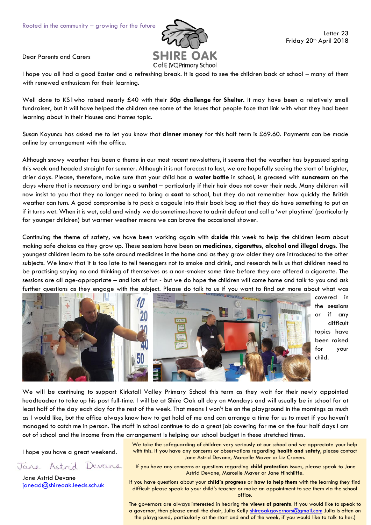

Dear Parents and Carers

I hope you all had a good Easter and a refreshing break. It is good to see the children back at school – many of them with renewed enthusiasm for their learning.

Well done to KS1who raised nearly £40 with their **50p challenge for Shelter**. It may have been a relatively small fundraiser, but it will have helped the children see some of the issues that people face that link with what they had been learning about in their Houses and Homes topic.

Susan Koyuncu has asked me to let you know that **dinner money** for this half term is £69.60. Payments can be made online by arrangement with the office.

Although snowy weather has been a theme in our most recent newsletters, it seems that the weather has bypassed spring this week and headed straight for summer. Although it is not forecast to last, we are hopefully seeing the start of brighter, drier days. Please, therefore, make sure that your child has a **water bottle** in school, is greased with **suncream** on the days where that is necessary and brings a **sunhat** – particularly if their hair does not cover their neck. Many children will now insist to you that they no longer need to bring a **coat** to school, but they do not remember how quickly the British weather can turn. A good compromise is to pack a cagoule into their book bag so that they *do* have something to put on if it turns wet. When it is wet, cold and windy we do sometimes have to admit defeat and call a 'wet playtime' (particularly for younger children) but warmer weather means we can brave the occasional shower.

Continuing the theme of safety, we have been working again with **d:side** this week to help the children learn about making safe choices as they grow up. These sessions have been on **medicines, cigarettes, alcohol and illegal drugs**. The youngest children learn to be safe around medicines in the home and as they grow older they are introduced to the other subjects. We know that it is too late to tell teenagers not to smoke and drink, and research tells us that children need to be practising saying no and thinking of themselves as a non-smoker some time before they are offered a cigarette. The sessions are all age-appropriate – and lots of fun - but we do hope the children will come home and talk to you and ask further questions as they engage with the subject. Please do talk to us if you want to find out more about what was



covered in the sessions or if any difficult topics have been raised for your child.

We will be continuing to support Kirkstall Valley Primary School this term as they wait for their newly appointed headteacher to take up his post full-time. I will be at Shire Oak all day on Mondays and will usually be in school for at least half of the day each day for the rest of the week. That means I won't be on the playground in the mornings as much as I would like, but the office always know how to get hold of me and can arrange a time for us to meet if you haven't managed to catch me in person. The staff in school continue to do a great job covering for me on the four half days I am out of school and the income from the arrangement is helping our school budget in these stretched times.

I hope you have a great weekend.

Devane Jane Astrid

Jane Astrid Devane [janead@shireoak.leeds.sch.uk](mailto:janead@shireoak.leeds.sch.uk) We take the safeguarding of children very seriously at our school and we appreciate your help with this. If you have any concerns or observations regarding **health and safety**, please contact Jane Astrid Devane, Marcelle Maver or Liz Craven.

If you have any concerns or questions regarding **child protection** issues, please speak to Jane Astrid Devane, Marcelle Maver or Jane Hinchliffe.

If you have questions about your **child's progress** or **how to help them** with the learning they find difficult please speak to your child's teacher or make an appointment to see them via the school office.

The governors are always interested in hearing the **views of parents**. If you would like to speak to a governor, then please email the chair, Julia Kelly [shireoakgovernors@gmail.com](mailto:shireoakgovernors@gmail.com) Julia is often on the playground, particularly at the start and end of the week, if you would like to talk to her.)